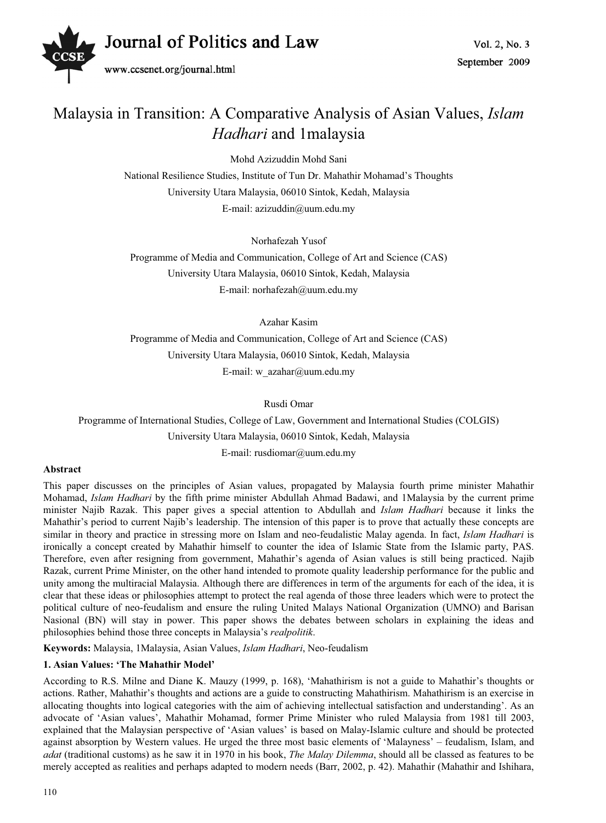

# Malaysia in Transition: A Comparative Analysis of Asian Values, *Islam Hadhari* and 1malaysia

Mohd Azizuddin Mohd Sani

National Resilience Studies, Institute of Tun Dr. Mahathir Mohamad's Thoughts University Utara Malaysia, 06010 Sintok, Kedah, Malaysia E-mail: azizuddin@uum.edu.my

Norhafezah Yusof

Programme of Media and Communication, College of Art and Science (CAS) University Utara Malaysia, 06010 Sintok, Kedah, Malaysia E-mail: norhafezah@uum.edu.my

Azahar Kasim

Programme of Media and Communication, College of Art and Science (CAS) University Utara Malaysia, 06010 Sintok, Kedah, Malaysia E-mail: w\_azahar@uum.edu.my

Rusdi Omar

Programme of International Studies, College of Law, Government and International Studies (COLGIS) University Utara Malaysia, 06010 Sintok, Kedah, Malaysia

E-mail: rusdiomar@uum.edu.my

## **Abstract**

This paper discusses on the principles of Asian values, propagated by Malaysia fourth prime minister Mahathir Mohamad, *Islam Hadhari* by the fifth prime minister Abdullah Ahmad Badawi, and 1Malaysia by the current prime minister Najib Razak. This paper gives a special attention to Abdullah and *Islam Hadhari* because it links the Mahathir's period to current Najib's leadership. The intension of this paper is to prove that actually these concepts are similar in theory and practice in stressing more on Islam and neo-feudalistic Malay agenda. In fact, *Islam Hadhari* is ironically a concept created by Mahathir himself to counter the idea of Islamic State from the Islamic party, PAS. Therefore, even after resigning from government, Mahathir's agenda of Asian values is still being practiced. Najib Razak, current Prime Minister, on the other hand intended to promote quality leadership performance for the public and unity among the multiracial Malaysia. Although there are differences in term of the arguments for each of the idea, it is clear that these ideas or philosophies attempt to protect the real agenda of those three leaders which were to protect the political culture of neo-feudalism and ensure the ruling United Malays National Organization (UMNO) and Barisan Nasional (BN) will stay in power. This paper shows the debates between scholars in explaining the ideas and philosophies behind those three concepts in Malaysia's *realpolitik*.

**Keywords:** Malaysia, 1Malaysia, Asian Values, *Islam Hadhari*, Neo-feudalism

## **1. Asian Values: 'The Mahathir Model'**

According to R.S. Milne and Diane K. Mauzy (1999, p. 168), 'Mahathirism is not a guide to Mahathir's thoughts or actions. Rather, Mahathir's thoughts and actions are a guide to constructing Mahathirism. Mahathirism is an exercise in allocating thoughts into logical categories with the aim of achieving intellectual satisfaction and understanding'. As an advocate of 'Asian values', Mahathir Mohamad, former Prime Minister who ruled Malaysia from 1981 till 2003, explained that the Malaysian perspective of 'Asian values' is based on Malay-Islamic culture and should be protected against absorption by Western values. He urged the three most basic elements of 'Malayness' – feudalism, Islam, and *adat* (traditional customs) as he saw it in 1970 in his book, *The Malay Dilemma*, should all be classed as features to be merely accepted as realities and perhaps adapted to modern needs (Barr, 2002, p. 42). Mahathir (Mahathir and Ishihara,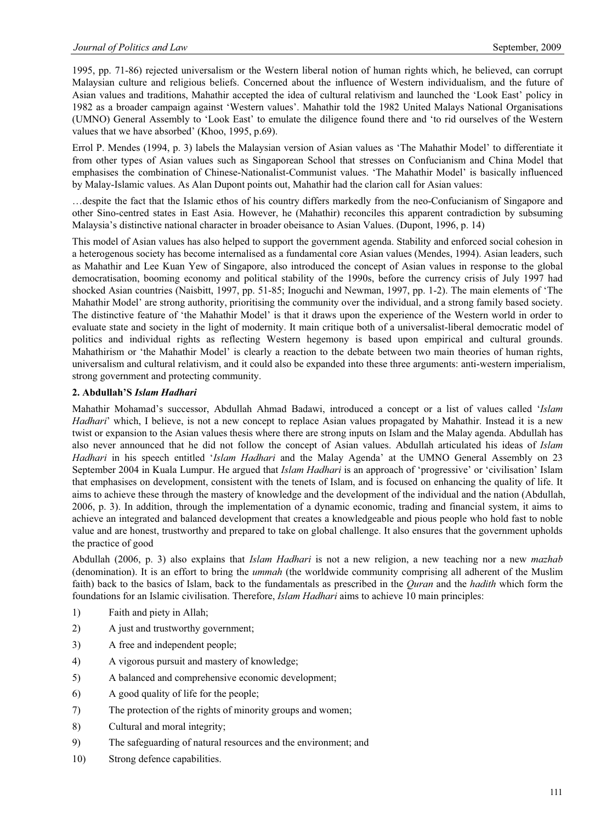1995, pp. 71-86) rejected universalism or the Western liberal notion of human rights which, he believed, can corrupt Malaysian culture and religious beliefs. Concerned about the influence of Western individualism, and the future of Asian values and traditions, Mahathir accepted the idea of cultural relativism and launched the 'Look East' policy in 1982 as a broader campaign against 'Western values'. Mahathir told the 1982 United Malays National Organisations (UMNO) General Assembly to 'Look East' to emulate the diligence found there and 'to rid ourselves of the Western values that we have absorbed' (Khoo, 1995, p.69).

Errol P. Mendes (1994, p. 3) labels the Malaysian version of Asian values as 'The Mahathir Model' to differentiate it from other types of Asian values such as Singaporean School that stresses on Confucianism and China Model that emphasises the combination of Chinese-Nationalist-Communist values. 'The Mahathir Model' is basically influenced by Malay-Islamic values. As Alan Dupont points out, Mahathir had the clarion call for Asian values:

…despite the fact that the Islamic ethos of his country differs markedly from the neo-Confucianism of Singapore and other Sino-centred states in East Asia. However, he (Mahathir) reconciles this apparent contradiction by subsuming Malaysia's distinctive national character in broader obeisance to Asian Values. (Dupont, 1996, p. 14)

This model of Asian values has also helped to support the government agenda. Stability and enforced social cohesion in a heterogenous society has become internalised as a fundamental core Asian values (Mendes, 1994). Asian leaders, such as Mahathir and Lee Kuan Yew of Singapore, also introduced the concept of Asian values in response to the global democratisation, booming economy and political stability of the 1990s, before the currency crisis of July 1997 had shocked Asian countries (Naisbitt, 1997, pp. 51-85; Inoguchi and Newman, 1997, pp. 1-2). The main elements of 'The Mahathir Model' are strong authority, prioritising the community over the individual, and a strong family based society. The distinctive feature of 'the Mahathir Model' is that it draws upon the experience of the Western world in order to evaluate state and society in the light of modernity. It main critique both of a universalist-liberal democratic model of politics and individual rights as reflecting Western hegemony is based upon empirical and cultural grounds. Mahathirism or 'the Mahathir Model' is clearly a reaction to the debate between two main theories of human rights, universalism and cultural relativism, and it could also be expanded into these three arguments: anti-western imperialism, strong government and protecting community.

#### **2. Abdullah'S** *Islam Hadhari*

Mahathir Mohamad's successor, Abdullah Ahmad Badawi, introduced a concept or a list of values called '*Islam Hadhari*' which, I believe, is not a new concept to replace Asian values propagated by Mahathir. Instead it is a new twist or expansion to the Asian values thesis where there are strong inputs on Islam and the Malay agenda. Abdullah has also never announced that he did not follow the concept of Asian values. Abdullah articulated his ideas of *Islam Hadhari* in his speech entitled '*Islam Hadhari* and the Malay Agenda' at the UMNO General Assembly on 23 September 2004 in Kuala Lumpur. He argued that *Islam Hadhari* is an approach of 'progressive' or 'civilisation' Islam that emphasises on development, consistent with the tenets of Islam, and is focused on enhancing the quality of life. It aims to achieve these through the mastery of knowledge and the development of the individual and the nation (Abdullah, 2006, p. 3). In addition, through the implementation of a dynamic economic, trading and financial system, it aims to achieve an integrated and balanced development that creates a knowledgeable and pious people who hold fast to noble value and are honest, trustworthy and prepared to take on global challenge. It also ensures that the government upholds the practice of good

Abdullah (2006, p. 3) also explains that *Islam Hadhari* is not a new religion, a new teaching nor a new *mazhab* (denomination). It is an effort to bring the *ummah* (the worldwide community comprising all adherent of the Muslim faith) back to the basics of Islam, back to the fundamentals as prescribed in the *Quran* and the *hadith* which form the foundations for an Islamic civilisation. Therefore, *Islam Hadhari* aims to achieve 10 main principles:

- 1) Faith and piety in Allah;
- 2) A just and trustworthy government;
- 3) A free and independent people;
- 4) A vigorous pursuit and mastery of knowledge;
- 5) A balanced and comprehensive economic development;
- 6) A good quality of life for the people;
- 7) The protection of the rights of minority groups and women;
- 8) Cultural and moral integrity;
- 9) The safeguarding of natural resources and the environment; and
- 10) Strong defence capabilities.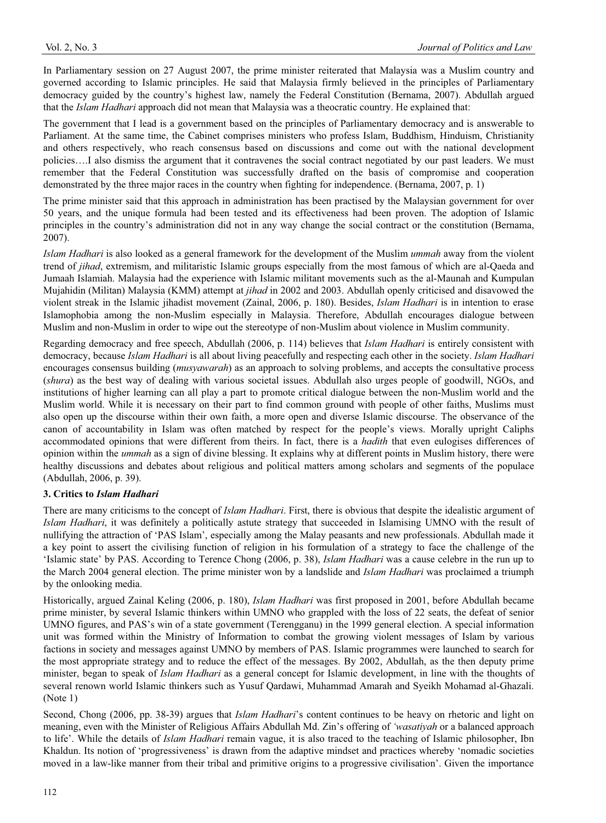In Parliamentary session on 27 August 2007, the prime minister reiterated that Malaysia was a Muslim country and governed according to Islamic principles. He said that Malaysia firmly believed in the principles of Parliamentary democracy guided by the country's highest law, namely the Federal Constitution (Bernama, 2007). Abdullah argued that the *Islam Hadhari* approach did not mean that Malaysia was a theocratic country. He explained that:

The government that I lead is a government based on the principles of Parliamentary democracy and is answerable to Parliament. At the same time, the Cabinet comprises ministers who profess Islam, Buddhism, Hinduism, Christianity and others respectively, who reach consensus based on discussions and come out with the national development policies….I also dismiss the argument that it contravenes the social contract negotiated by our past leaders. We must remember that the Federal Constitution was successfully drafted on the basis of compromise and cooperation demonstrated by the three major races in the country when fighting for independence. (Bernama, 2007, p. 1)

The prime minister said that this approach in administration has been practised by the Malaysian government for over 50 years, and the unique formula had been tested and its effectiveness had been proven. The adoption of Islamic principles in the country's administration did not in any way change the social contract or the constitution (Bernama, 2007).

*Islam Hadhari* is also looked as a general framework for the development of the Muslim *ummah* away from the violent trend of *jihad*, extremism, and militaristic Islamic groups especially from the most famous of which are al-Qaeda and Jumaah Islamiah. Malaysia had the experience with Islamic militant movements such as the al-Maunah and Kumpulan Mujahidin (Militan) Malaysia (KMM) attempt at *jihad* in 2002 and 2003. Abdullah openly criticised and disavowed the violent streak in the Islamic jihadist movement (Zainal, 2006, p. 180). Besides, *Islam Hadhari* is in intention to erase Islamophobia among the non-Muslim especially in Malaysia. Therefore, Abdullah encourages dialogue between Muslim and non-Muslim in order to wipe out the stereotype of non-Muslim about violence in Muslim community.

Regarding democracy and free speech, Abdullah (2006, p. 114) believes that *Islam Hadhari* is entirely consistent with democracy, because *Islam Hadhari* is all about living peacefully and respecting each other in the society. *Islam Hadhari* encourages consensus building (*musyawarah*) as an approach to solving problems, and accepts the consultative process (*shura*) as the best way of dealing with various societal issues. Abdullah also urges people of goodwill, NGOs, and institutions of higher learning can all play a part to promote critical dialogue between the non-Muslim world and the Muslim world. While it is necessary on their part to find common ground with people of other faiths, Muslims must also open up the discourse within their own faith, a more open and diverse Islamic discourse. The observance of the canon of accountability in Islam was often matched by respect for the people's views. Morally upright Caliphs accommodated opinions that were different from theirs. In fact, there is a *hadith* that even eulogises differences of opinion within the *ummah* as a sign of divine blessing. It explains why at different points in Muslim history, there were healthy discussions and debates about religious and political matters among scholars and segments of the populace (Abdullah, 2006, p. 39).

# **3. Critics to** *Islam Hadhari*

There are many criticisms to the concept of *Islam Hadhari*. First, there is obvious that despite the idealistic argument of *Islam Hadhari*, it was definitely a politically astute strategy that succeeded in Islamising UMNO with the result of nullifying the attraction of 'PAS Islam', especially among the Malay peasants and new professionals. Abdullah made it a key point to assert the civilising function of religion in his formulation of a strategy to face the challenge of the 'Islamic state' by PAS. According to Terence Chong (2006, p. 38), *Islam Hadhari* was a cause celebre in the run up to the March 2004 general election. The prime minister won by a landslide and *Islam Hadhari* was proclaimed a triumph by the onlooking media.

Historically, argued Zainal Keling (2006, p. 180), *Islam Hadhari* was first proposed in 2001, before Abdullah became prime minister, by several Islamic thinkers within UMNO who grappled with the loss of 22 seats, the defeat of senior UMNO figures, and PAS's win of a state government (Terengganu) in the 1999 general election. A special information unit was formed within the Ministry of Information to combat the growing violent messages of Islam by various factions in society and messages against UMNO by members of PAS. Islamic programmes were launched to search for the most appropriate strategy and to reduce the effect of the messages. By 2002, Abdullah, as the then deputy prime minister, began to speak of *Islam Hadhari* as a general concept for Islamic development, in line with the thoughts of several renown world Islamic thinkers such as Yusuf Qardawi, Muhammad Amarah and Syeikh Mohamad al-Ghazali. (Note 1)

Second, Chong (2006, pp. 38-39) argues that *Islam Hadhari*'s content continues to be heavy on rhetoric and light on meaning, even with the Minister of Religious Affairs Abdullah Md. Zin's offering of *'wasatiyah* or a balanced approach to life'. While the details of *Islam Hadhari* remain vague, it is also traced to the teaching of Islamic philosopher, Ibn Khaldun. Its notion of 'progressiveness' is drawn from the adaptive mindset and practices whereby 'nomadic societies moved in a law-like manner from their tribal and primitive origins to a progressive civilisation'. Given the importance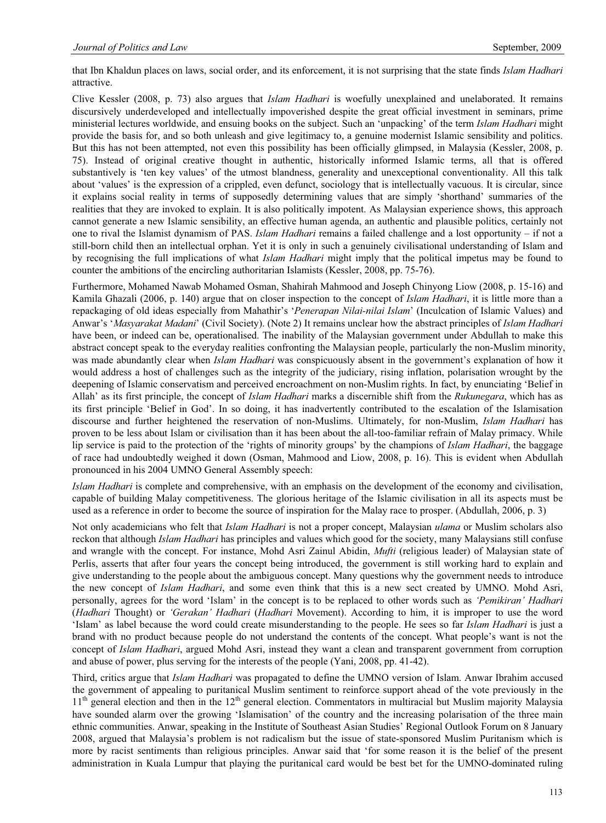that Ibn Khaldun places on laws, social order, and its enforcement, it is not surprising that the state finds *Islam Hadhari* attractive.

Clive Kessler (2008, p. 73) also argues that *Islam Hadhari* is woefully unexplained and unelaborated. It remains discursively underdeveloped and intellectually impoverished despite the great official investment in seminars, prime ministerial lectures worldwide, and ensuing books on the subject. Such an 'unpacking' of the term *Islam Hadhari* might provide the basis for, and so both unleash and give legitimacy to, a genuine modernist Islamic sensibility and politics. But this has not been attempted, not even this possibility has been officially glimpsed, in Malaysia (Kessler, 2008, p. 75). Instead of original creative thought in authentic, historically informed Islamic terms, all that is offered substantively is 'ten key values' of the utmost blandness, generality and unexceptional conventionality. All this talk about 'values' is the expression of a crippled, even defunct, sociology that is intellectually vacuous. It is circular, since it explains social reality in terms of supposedly determining values that are simply 'shorthand' summaries of the realities that they are invoked to explain. It is also politically impotent. As Malaysian experience shows, this approach cannot generate a new Islamic sensibility, an effective human agenda, an authentic and plausible politics, certainly not one to rival the Islamist dynamism of PAS. *Islam Hadhari* remains a failed challenge and a lost opportunity – if not a still-born child then an intellectual orphan. Yet it is only in such a genuinely civilisational understanding of Islam and by recognising the full implications of what *Islam Hadhari* might imply that the political impetus may be found to counter the ambitions of the encircling authoritarian Islamists (Kessler, 2008, pp. 75-76).

Furthermore, Mohamed Nawab Mohamed Osman, Shahirah Mahmood and Joseph Chinyong Liow (2008, p. 15-16) and Kamila Ghazali (2006, p. 140) argue that on closer inspection to the concept of *Islam Hadhari*, it is little more than a repackaging of old ideas especially from Mahathir's '*Penerapan Nilai-nilai Islam*' (Inculcation of Islamic Values) and Anwar's '*Masyarakat Madani*' (Civil Society). (Note 2) It remains unclear how the abstract principles of *Islam Hadhari* have been, or indeed can be, operationalised. The inability of the Malaysian government under Abdullah to make this abstract concept speak to the everyday realities confronting the Malaysian people, particularly the non-Muslim minority, was made abundantly clear when *Islam Hadhari* was conspicuously absent in the government's explanation of how it would address a host of challenges such as the integrity of the judiciary, rising inflation, polarisation wrought by the deepening of Islamic conservatism and perceived encroachment on non-Muslim rights. In fact, by enunciating 'Belief in Allah' as its first principle, the concept of *Islam Hadhari* marks a discernible shift from the *Rukunegara*, which has as its first principle 'Belief in God'. In so doing, it has inadvertently contributed to the escalation of the Islamisation discourse and further heightened the reservation of non-Muslims. Ultimately, for non-Muslim, *Islam Hadhari* has proven to be less about Islam or civilisation than it has been about the all-too-familiar refrain of Malay primacy. While lip service is paid to the protection of the 'rights of minority groups' by the champions of *Islam Hadhari*, the baggage of race had undoubtedly weighed it down (Osman, Mahmood and Liow, 2008, p. 16). This is evident when Abdullah pronounced in his 2004 UMNO General Assembly speech:

*Islam Hadhari* is complete and comprehensive, with an emphasis on the development of the economy and civilisation, capable of building Malay competitiveness. The glorious heritage of the Islamic civilisation in all its aspects must be used as a reference in order to become the source of inspiration for the Malay race to prosper. (Abdullah, 2006, p. 3)

Not only academicians who felt that *Islam Hadhari* is not a proper concept, Malaysian *ulama* or Muslim scholars also reckon that although *Islam Hadhari* has principles and values which good for the society, many Malaysians still confuse and wrangle with the concept. For instance, Mohd Asri Zainul Abidin, *Mufti* (religious leader) of Malaysian state of Perlis, asserts that after four years the concept being introduced, the government is still working hard to explain and give understanding to the people about the ambiguous concept. Many questions why the government needs to introduce the new concept of *Islam Hadhari*, and some even think that this is a new sect created by UMNO. Mohd Asri, personally, agrees for the word 'Islam' in the concept is to be replaced to other words such as *'Pemikiran' Hadhari* (*Hadhari* Thought) or *'Gerakan' Hadhari* (*Hadhari* Movement). According to him, it is improper to use the word 'Islam' as label because the word could create misunderstanding to the people. He sees so far *Islam Hadhari* is just a brand with no product because people do not understand the contents of the concept. What people's want is not the concept of *Islam Hadhari*, argued Mohd Asri, instead they want a clean and transparent government from corruption and abuse of power, plus serving for the interests of the people (Yani, 2008, pp. 41-42).

Third, critics argue that *Islam Hadhari* was propagated to define the UMNO version of Islam. Anwar Ibrahim accused the government of appealing to puritanical Muslim sentiment to reinforce support ahead of the vote previously in the 11<sup>th</sup> general election and then in the 12<sup>th</sup> general election. Commentators in multiracial but Muslim majority Malaysia have sounded alarm over the growing 'Islamisation' of the country and the increasing polarisation of the three main ethnic communities. Anwar, speaking in the Institute of Southeast Asian Studies' Regional Outlook Forum on 8 January 2008, argued that Malaysia's problem is not radicalism but the issue of state-sponsored Muslim Puritanism which is more by racist sentiments than religious principles. Anwar said that 'for some reason it is the belief of the present administration in Kuala Lumpur that playing the puritanical card would be best bet for the UMNO-dominated ruling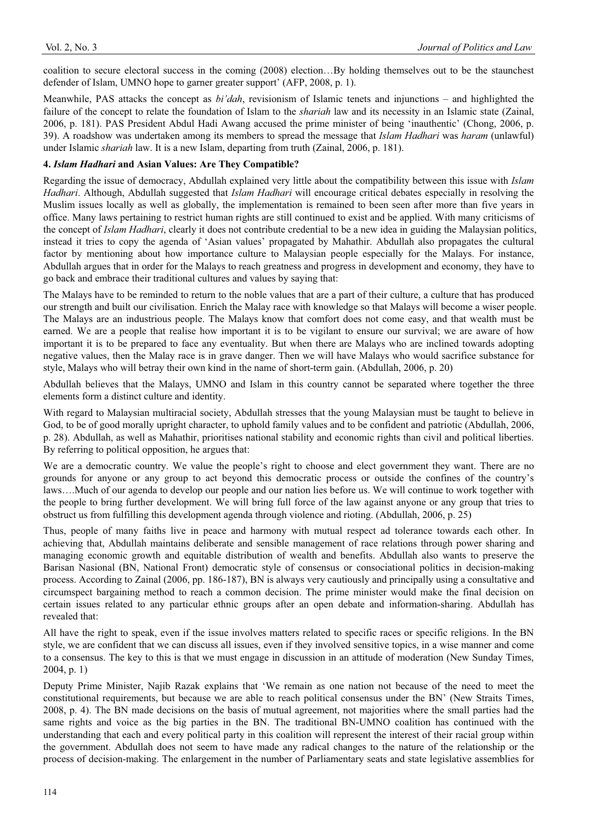coalition to secure electoral success in the coming (2008) election…By holding themselves out to be the staunchest defender of Islam, UMNO hope to garner greater support' (AFP, 2008, p. 1).

Meanwhile, PAS attacks the concept as *bi'dah*, revisionism of Islamic tenets and injunctions – and highlighted the failure of the concept to relate the foundation of Islam to the *shariah* law and its necessity in an Islamic state (Zainal, 2006, p. 181). PAS President Abdul Hadi Awang accused the prime minister of being 'inauthentic' (Chong, 2006, p. 39). A roadshow was undertaken among its members to spread the message that *Islam Hadhari* was *haram* (unlawful) under Islamic *shariah* law. It is a new Islam, departing from truth (Zainal, 2006, p. 181).

#### **4.** *Islam Hadhari* **and Asian Values: Are They Compatible?**

Regarding the issue of democracy, Abdullah explained very little about the compatibility between this issue with *Islam Hadhari*. Although, Abdullah suggested that *Islam Hadhari* will encourage critical debates especially in resolving the Muslim issues locally as well as globally, the implementation is remained to been seen after more than five years in office. Many laws pertaining to restrict human rights are still continued to exist and be applied. With many criticisms of the concept of *Islam Hadhari*, clearly it does not contribute credential to be a new idea in guiding the Malaysian politics, instead it tries to copy the agenda of 'Asian values' propagated by Mahathir. Abdullah also propagates the cultural factor by mentioning about how importance culture to Malaysian people especially for the Malays. For instance, Abdullah argues that in order for the Malays to reach greatness and progress in development and economy, they have to go back and embrace their traditional cultures and values by saying that:

The Malays have to be reminded to return to the noble values that are a part of their culture, a culture that has produced our strength and built our civilisation. Enrich the Malay race with knowledge so that Malays will become a wiser people. The Malays are an industrious people. The Malays know that comfort does not come easy, and that wealth must be earned. We are a people that realise how important it is to be vigilant to ensure our survival; we are aware of how important it is to be prepared to face any eventuality. But when there are Malays who are inclined towards adopting negative values, then the Malay race is in grave danger. Then we will have Malays who would sacrifice substance for style, Malays who will betray their own kind in the name of short-term gain. (Abdullah, 2006, p. 20)

Abdullah believes that the Malays, UMNO and Islam in this country cannot be separated where together the three elements form a distinct culture and identity.

With regard to Malaysian multiracial society, Abdullah stresses that the young Malaysian must be taught to believe in God, to be of good morally upright character, to uphold family values and to be confident and patriotic (Abdullah, 2006, p. 28). Abdullah, as well as Mahathir, prioritises national stability and economic rights than civil and political liberties. By referring to political opposition, he argues that:

We are a democratic country. We value the people's right to choose and elect government they want. There are no grounds for anyone or any group to act beyond this democratic process or outside the confines of the country's laws….Much of our agenda to develop our people and our nation lies before us. We will continue to work together with the people to bring further development. We will bring full force of the law against anyone or any group that tries to obstruct us from fulfilling this development agenda through violence and rioting. (Abdullah, 2006, p. 25)

Thus, people of many faiths live in peace and harmony with mutual respect ad tolerance towards each other. In achieving that, Abdullah maintains deliberate and sensible management of race relations through power sharing and managing economic growth and equitable distribution of wealth and benefits. Abdullah also wants to preserve the Barisan Nasional (BN, National Front) democratic style of consensus or consociational politics in decision-making process. According to Zainal (2006, pp. 186-187), BN is always very cautiously and principally using a consultative and circumspect bargaining method to reach a common decision. The prime minister would make the final decision on certain issues related to any particular ethnic groups after an open debate and information-sharing. Abdullah has revealed that:

All have the right to speak, even if the issue involves matters related to specific races or specific religions. In the BN style, we are confident that we can discuss all issues, even if they involved sensitive topics, in a wise manner and come to a consensus. The key to this is that we must engage in discussion in an attitude of moderation (New Sunday Times, 2004, p. 1)

Deputy Prime Minister, Najib Razak explains that 'We remain as one nation not because of the need to meet the constitutional requirements, but because we are able to reach political consensus under the BN' (New Straits Times, 2008, p. 4). The BN made decisions on the basis of mutual agreement, not majorities where the small parties had the same rights and voice as the big parties in the BN. The traditional BN-UMNO coalition has continued with the understanding that each and every political party in this coalition will represent the interest of their racial group within the government. Abdullah does not seem to have made any radical changes to the nature of the relationship or the process of decision-making. The enlargement in the number of Parliamentary seats and state legislative assemblies for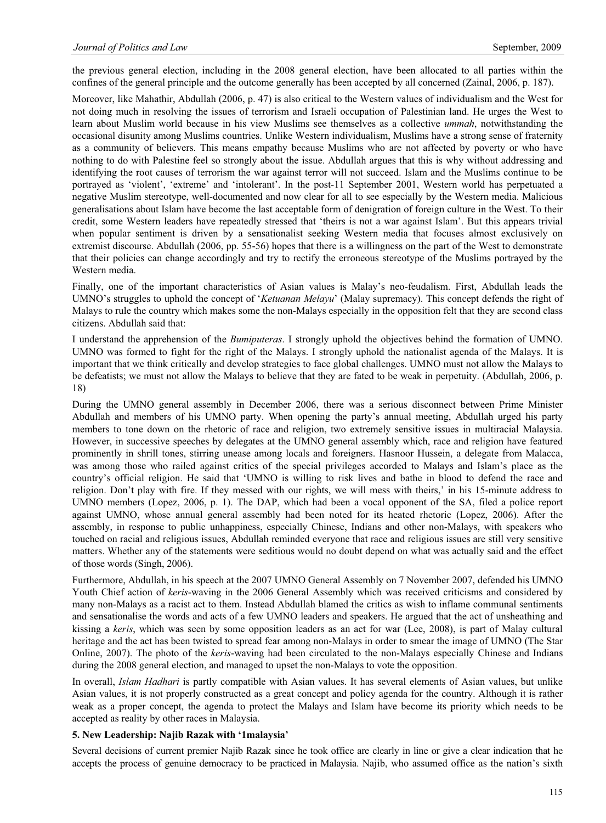the previous general election, including in the 2008 general election, have been allocated to all parties within the confines of the general principle and the outcome generally has been accepted by all concerned (Zainal, 2006, p. 187).

Moreover, like Mahathir, Abdullah (2006, p. 47) is also critical to the Western values of individualism and the West for not doing much in resolving the issues of terrorism and Israeli occupation of Palestinian land. He urges the West to learn about Muslim world because in his view Muslims see themselves as a collective *ummah*, notwithstanding the occasional disunity among Muslims countries. Unlike Western individualism, Muslims have a strong sense of fraternity as a community of believers. This means empathy because Muslims who are not affected by poverty or who have nothing to do with Palestine feel so strongly about the issue. Abdullah argues that this is why without addressing and identifying the root causes of terrorism the war against terror will not succeed. Islam and the Muslims continue to be portrayed as 'violent', 'extreme' and 'intolerant'. In the post-11 September 2001, Western world has perpetuated a negative Muslim stereotype, well-documented and now clear for all to see especially by the Western media. Malicious generalisations about Islam have become the last acceptable form of denigration of foreign culture in the West. To their credit, some Western leaders have repeatedly stressed that 'theirs is not a war against Islam'. But this appears trivial when popular sentiment is driven by a sensationalist seeking Western media that focuses almost exclusively on extremist discourse. Abdullah (2006, pp. 55-56) hopes that there is a willingness on the part of the West to demonstrate that their policies can change accordingly and try to rectify the erroneous stereotype of the Muslims portrayed by the Western media.

Finally, one of the important characteristics of Asian values is Malay's neo-feudalism. First, Abdullah leads the UMNO's struggles to uphold the concept of '*Ketuanan Melayu*' (Malay supremacy). This concept defends the right of Malays to rule the country which makes some the non-Malays especially in the opposition felt that they are second class citizens. Abdullah said that:

I understand the apprehension of the *Bumiputeras*. I strongly uphold the objectives behind the formation of UMNO. UMNO was formed to fight for the right of the Malays. I strongly uphold the nationalist agenda of the Malays. It is important that we think critically and develop strategies to face global challenges. UMNO must not allow the Malays to be defeatists; we must not allow the Malays to believe that they are fated to be weak in perpetuity. (Abdullah, 2006, p. 18)

During the UMNO general assembly in December 2006, there was a serious disconnect between Prime Minister Abdullah and members of his UMNO party. When opening the party's annual meeting, Abdullah urged his party members to tone down on the rhetoric of race and religion, two extremely sensitive issues in multiracial Malaysia. However, in successive speeches by delegates at the UMNO general assembly which, race and religion have featured prominently in shrill tones, stirring unease among locals and foreigners. Hasnoor Hussein, a delegate from Malacca, was among those who railed against critics of the special privileges accorded to Malays and Islam's place as the country's official religion. He said that 'UMNO is willing to risk lives and bathe in blood to defend the race and religion. Don't play with fire. If they messed with our rights, we will mess with theirs,' in his 15-minute address to UMNO members (Lopez, 2006, p. 1). The DAP, which had been a vocal opponent of the SA, filed a police report against UMNO, whose annual general assembly had been noted for its heated rhetoric (Lopez, 2006). After the assembly, in response to public unhappiness, especially Chinese, Indians and other non-Malays, with speakers who touched on racial and religious issues, Abdullah reminded everyone that race and religious issues are still very sensitive matters. Whether any of the statements were seditious would no doubt depend on what was actually said and the effect of those words (Singh, 2006).

Furthermore, Abdullah, in his speech at the 2007 UMNO General Assembly on 7 November 2007, defended his UMNO Youth Chief action of *keris*-waving in the 2006 General Assembly which was received criticisms and considered by many non-Malays as a racist act to them. Instead Abdullah blamed the critics as wish to inflame communal sentiments and sensationalise the words and acts of a few UMNO leaders and speakers. He argued that the act of unsheathing and kissing a *keris*, which was seen by some opposition leaders as an act for war (Lee, 2008), is part of Malay cultural heritage and the act has been twisted to spread fear among non-Malays in order to smear the image of UMNO (The Star Online, 2007). The photo of the *keris*-waving had been circulated to the non-Malays especially Chinese and Indians during the 2008 general election, and managed to upset the non-Malays to vote the opposition.

In overall, *Islam Hadhari* is partly compatible with Asian values. It has several elements of Asian values, but unlike Asian values, it is not properly constructed as a great concept and policy agenda for the country. Although it is rather weak as a proper concept, the agenda to protect the Malays and Islam have become its priority which needs to be accepted as reality by other races in Malaysia.

#### **5. New Leadership: Najib Razak with '1malaysia'**

Several decisions of current premier Najib Razak since he took office are clearly in line or give a clear indication that he accepts the process of genuine democracy to be practiced in Malaysia. Najib, who assumed office as the nation's sixth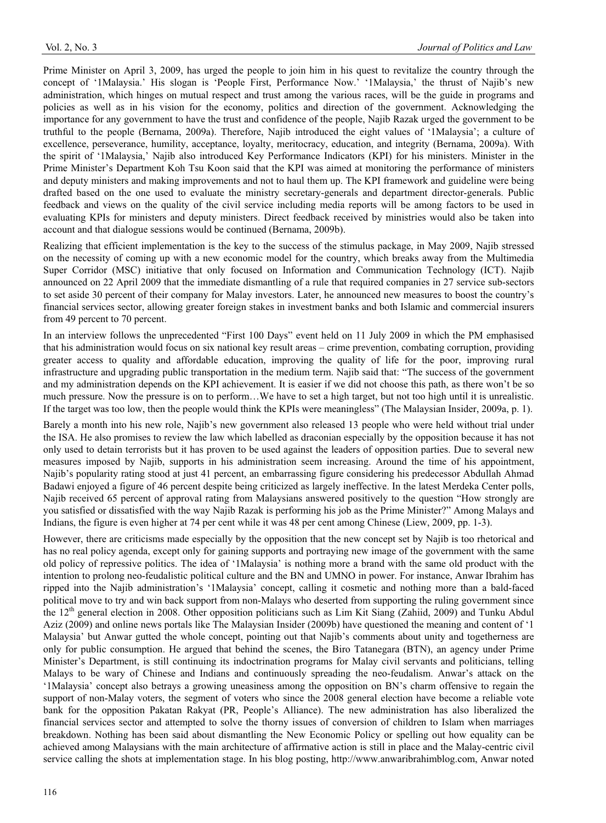Prime Minister on April 3, 2009, has urged the people to join him in his quest to revitalize the country through the concept of '1Malaysia.' His slogan is 'People First, Performance Now.' '1Malaysia,' the thrust of Najib's new administration, which hinges on mutual respect and trust among the various races, will be the guide in programs and policies as well as in his vision for the economy, politics and direction of the government. Acknowledging the importance for any government to have the trust and confidence of the people, Najib Razak urged the government to be truthful to the people (Bernama, 2009a). Therefore, Najib introduced the eight values of '1Malaysia'; a culture of excellence, perseverance, humility, acceptance, loyalty, meritocracy, education, and integrity (Bernama, 2009a). With the spirit of '1Malaysia,' Najib also introduced Key Performance Indicators (KPI) for his ministers. Minister in the Prime Minister's Department Koh Tsu Koon said that the KPI was aimed at monitoring the performance of ministers and deputy ministers and making improvements and not to haul them up. The KPI framework and guideline were being drafted based on the one used to evaluate the ministry secretary-generals and department director-generals. Public feedback and views on the quality of the civil service including media reports will be among factors to be used in evaluating KPIs for ministers and deputy ministers. Direct feedback received by ministries would also be taken into account and that dialogue sessions would be continued (Bernama, 2009b).

Realizing that efficient implementation is the key to the success of the stimulus package, in May 2009, Najib stressed on the necessity of coming up with a new economic model for the country, which breaks away from the Multimedia Super Corridor (MSC) initiative that only focused on Information and Communication Technology (ICT). Najib announced on 22 April 2009 that the immediate dismantling of a rule that required companies in 27 service sub-sectors to set aside 30 percent of their company for Malay investors. Later, he announced new measures to boost the country's financial services sector, allowing greater foreign stakes in investment banks and both Islamic and commercial insurers from 49 percent to 70 percent.

In an interview follows the unprecedented "First 100 Days" event held on 11 July 2009 in which the PM emphasised that his administration would focus on six national key result areas – crime prevention, combating corruption, providing greater access to quality and affordable education, improving the quality of life for the poor, improving rural infrastructure and upgrading public transportation in the medium term. Najib said that: "The success of the government and my administration depends on the KPI achievement. It is easier if we did not choose this path, as there won't be so much pressure. Now the pressure is on to perform…We have to set a high target, but not too high until it is unrealistic. If the target was too low, then the people would think the KPIs were meaningless" (The Malaysian Insider, 2009a, p. 1).

Barely a month into his new role, Najib's new government also released 13 people who were held without trial under the ISA. He also promises to review the law which labelled as draconian especially by the opposition because it has not only used to detain terrorists but it has proven to be used against the leaders of opposition parties. Due to several new measures imposed by Najib, supports in his administration seem increasing. Around the time of his appointment, Najib's popularity rating stood at just 41 percent, an embarrassing figure considering his predecessor Abdullah Ahmad Badawi enjoyed a figure of 46 percent despite being criticized as largely ineffective. In the latest Merdeka Center polls, Najib received 65 percent of approval rating from Malaysians answered positively to the question "How strongly are you satisfied or dissatisfied with the way Najib Razak is performing his job as the Prime Minister?" Among Malays and Indians, the figure is even higher at 74 per cent while it was 48 per cent among Chinese (Liew, 2009, pp. 1-3).

However, there are criticisms made especially by the opposition that the new concept set by Najib is too rhetorical and has no real policy agenda, except only for gaining supports and portraying new image of the government with the same old policy of repressive politics. The idea of '1Malaysia' is nothing more a brand with the same old product with the intention to prolong neo-feudalistic political culture and the BN and UMNO in power. For instance, Anwar Ibrahim has ripped into the Najib administration's '1Malaysia' concept, calling it cosmetic and nothing more than a bald-faced political move to try and win back support from non-Malays who deserted from supporting the ruling government since the  $12<sup>th</sup>$  general election in 2008. Other opposition politicians such as Lim Kit Siang (Zahiid, 2009) and Tunku Abdul Aziz (2009) and online news portals like The Malaysian Insider (2009b) have questioned the meaning and content of '1 Malaysia' but Anwar gutted the whole concept, pointing out that Najib's comments about unity and togetherness are only for public consumption. He argued that behind the scenes, the Biro Tatanegara (BTN), an agency under Prime Minister's Department, is still continuing its indoctrination programs for Malay civil servants and politicians, telling Malays to be wary of Chinese and Indians and continuously spreading the neo-feudalism. Anwar's attack on the '1Malaysia' concept also betrays a growing uneasiness among the opposition on BN's charm offensive to regain the support of non-Malay voters, the segment of voters who since the 2008 general election have become a reliable vote bank for the opposition Pakatan Rakyat (PR, People's Alliance). The new administration has also liberalized the financial services sector and attempted to solve the thorny issues of conversion of children to Islam when marriages breakdown. Nothing has been said about dismantling the New Economic Policy or spelling out how equality can be achieved among Malaysians with the main architecture of affirmative action is still in place and the Malay-centric civil service calling the shots at implementation stage. In his blog posting, http://www.anwaribrahimblog.com, Anwar noted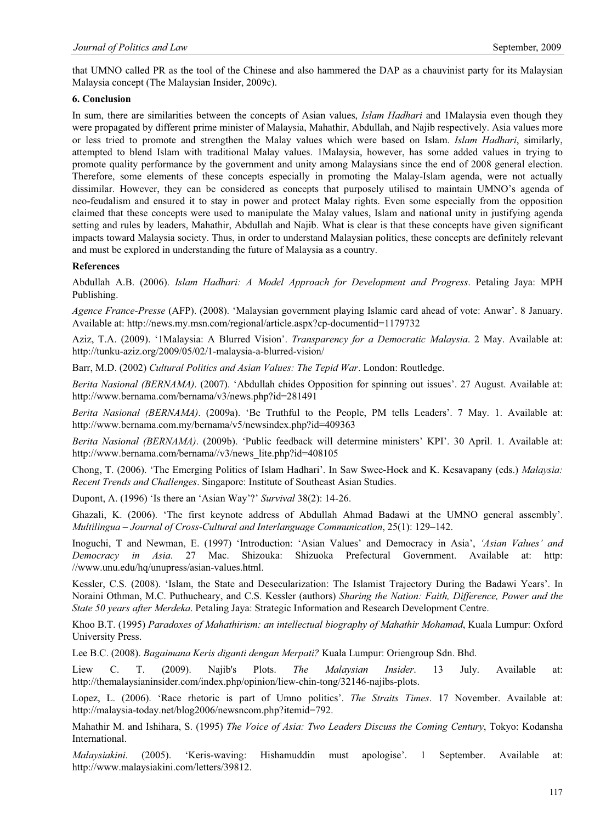that UMNO called PR as the tool of the Chinese and also hammered the DAP as a chauvinist party for its Malaysian Malaysia concept (The Malaysian Insider, 2009c).

#### **6. Conclusion**

In sum, there are similarities between the concepts of Asian values, *Islam Hadhari* and 1Malaysia even though they were propagated by different prime minister of Malaysia, Mahathir, Abdullah, and Najib respectively. Asia values more or less tried to promote and strengthen the Malay values which were based on Islam. *Islam Hadhari*, similarly, attempted to blend Islam with traditional Malay values. 1Malaysia, however, has some added values in trying to promote quality performance by the government and unity among Malaysians since the end of 2008 general election. Therefore, some elements of these concepts especially in promoting the Malay-Islam agenda, were not actually dissimilar. However, they can be considered as concepts that purposely utilised to maintain UMNO's agenda of neo-feudalism and ensured it to stay in power and protect Malay rights. Even some especially from the opposition claimed that these concepts were used to manipulate the Malay values, Islam and national unity in justifying agenda setting and rules by leaders, Mahathir, Abdullah and Najib. What is clear is that these concepts have given significant impacts toward Malaysia society. Thus, in order to understand Malaysian politics, these concepts are definitely relevant and must be explored in understanding the future of Malaysia as a country.

#### **References**

Abdullah A.B. (2006). *Islam Hadhari: A Model Approach for Development and Progress*. Petaling Jaya: MPH Publishing.

*Agence France-Presse* (AFP). (2008). 'Malaysian government playing Islamic card ahead of vote: Anwar'. 8 January. Available at: http://news.my.msn.com/regional/article.aspx?cp-documentid=1179732

Aziz, T.A. (2009). '1Malaysia: A Blurred Vision'. *Transparency for a Democratic Malaysia*. 2 May. Available at: http://tunku-aziz.org/2009/05/02/1-malaysia-a-blurred-vision/

Barr, M.D. (2002) *Cultural Politics and Asian Values: The Tepid War*. London: Routledge.

*Berita Nasional (BERNAMA)*. (2007). 'Abdullah chides Opposition for spinning out issues'. 27 August. Available at: http://www.bernama.com/bernama/v3/news.php?id=281491

*Berita Nasional (BERNAMA)*. (2009a). 'Be Truthful to the People, PM tells Leaders'. 7 May. 1. Available at: http://www.bernama.com.my/bernama/v5/newsindex.php?id=409363

*Berita Nasional (BERNAMA)*. (2009b). 'Public feedback will determine ministers' KPI'. 30 April. 1. Available at: http://www.bernama.com/bernama//v3/news\_lite.php?id=408105

Chong, T. (2006). 'The Emerging Politics of Islam Hadhari'. In Saw Swee-Hock and K. Kesavapany (eds.) *Malaysia: Recent Trends and Challenges*. Singapore: Institute of Southeast Asian Studies.

Dupont, A. (1996) 'Is there an 'Asian Way'?' *Survival* 38(2): 14-26.

Ghazali, K. (2006). 'The first keynote address of Abdullah Ahmad Badawi at the UMNO general assembly'. *Multilingua – Journal of Cross-Cultural and Interlanguage Communication*, 25(1): 129–142.

Inoguchi, T and Newman, E. (1997) 'Introduction: 'Asian Values' and Democracy in Asia', *'Asian Values' and Democracy in Asia*. 27 Mac. Shizouka: Shizuoka Prefectural Government. Available at: http: //www.unu.edu/hq/unupress/asian-values.html.

Kessler, C.S. (2008). 'Islam, the State and Desecularization: The Islamist Trajectory During the Badawi Years'. In Noraini Othman, M.C. Puthucheary, and C.S. Kessler (authors) *Sharing the Nation: Faith, Difference, Power and the State 50 years after Merdeka*. Petaling Jaya: Strategic Information and Research Development Centre.

Khoo B.T. (1995) *Paradoxes of Mahathirism: an intellectual biography of Mahathir Mohamad*, Kuala Lumpur: Oxford University Press.

Lee B.C. (2008). *Bagaimana Keris diganti dengan Merpati?* Kuala Lumpur: Oriengroup Sdn. Bhd.

Liew C. T. (2009). Najib's Plots. *The Malaysian Insider*. 13 July. Available at: http://themalaysianinsider.com/index.php/opinion/liew-chin-tong/32146-najibs-plots.

Lopez, L. (2006). 'Race rhetoric is part of Umno politics'. *The Straits Times*. 17 November. Available at: http://malaysia-today.net/blog2006/newsncom.php?itemid=792.

Mahathir M. and Ishihara, S. (1995) *The Voice of Asia: Two Leaders Discuss the Coming Century*, Tokyo: Kodansha International.

*Malaysiakini*. (2005). 'Keris-waving: Hishamuddin must apologise'. 1 September. Available at: http://www.malaysiakini.com/letters/39812.